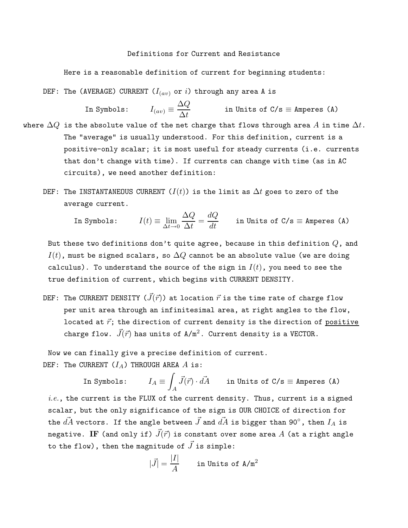## Definitions for Current and Resistance

Here is a reasonable definition of current for beginning students:

DEF: The (AVERAGE) CURRENT  $(I_{(av)}$  or i) through any area A is

In Symbols: 
$$
I_{(av)} \equiv \frac{\Delta Q}{\Delta t}
$$
 in Units of C/s  $\equiv$  Amperes (A)

- where  $\Delta Q$  is the absolute value of the net charge that flows through area  $A$  in time  $\Delta t$ . The "average" is usually understood. For this definition, current is a positive-only scalar; it is most useful for steady currents (i.e. currents that don't change with time). If currents can change with time (as in AC circuits), we need another definition:
	- DEF: The INSTANTANEOUS CURRENT  $(I(t))$  is the limit as  $\Delta t$  goes to zero of the average current.

In Symbols: 
$$
I(t) \equiv \lim_{\Delta t \to 0} \frac{\Delta Q}{\Delta t} = \frac{dQ}{dt}
$$
 in Units of C/s  $\equiv$  Amperes (A)

But these two definitions don't quite agree, because in this definition  $Q$ , and  $I(t)$ , must be signed scalars, so  $\Delta Q$  cannot be an absolute value (we are doing calculus). To understand the source of the sign in  $I(t)$ , you need to see the true definition of current, which begins with CURRENT DENSITY.

DEF: The CURRENT DENSITY  $(\vec{J}(\vec{r}))$  at location  $\vec{r}$  is the time rate of charge flow per unit area through an infinitesimal area, at right angles to the flow, located at  $\vec{r}$ ; the direction of current density is the direction of positive charge flow.  $\vec{J}(\vec{r})$  has units of  $A/m^2$ . Current density is a VECTOR.

Now we can finally give a precise definition of current. DEF: The CURRENT  $(I_A)$  THROUGH AREA A is:

In Symbols: Z A  $\vec{J}(\vec{r}) \cdot d\vec{A}$  in Units of C/s  $\equiv$  Amperes (A)  $i.e.,$  the current is the FLUX of the current density. Thus, current is a signed scalar, but the only significance of the sign is OUR CHOICE of direction for the  $d\vec{A}$  vectors. If the angle between  $\vec{J}$  and  $d\vec{A}$  is bigger than 90°, then  $I_A$  is negative. IF (and only if)  $\vec{J}(\vec{r})$  is constant over some area A (at a right angle to the flow), then the magnitude of  $\vec{J}$  is simple:

$$
|\vec{J}| = \frac{|I|}{A}
$$
 in Units of A/m<sup>2</sup>